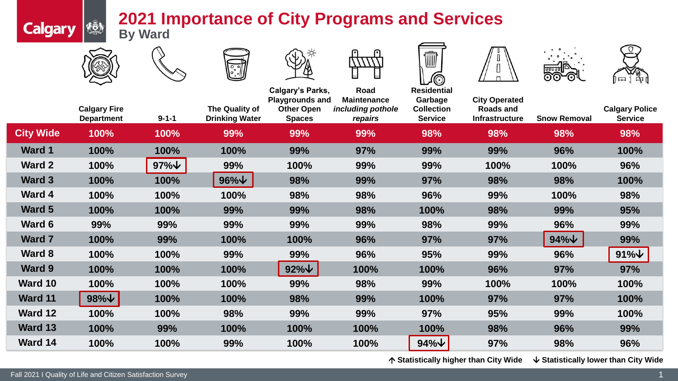## **2021 Importance of City Programs and Services By Ward**



**Calgary &** 

















|                  | <b>Calgary Fire</b><br><b>Department</b> | $9 - 1 - 1$        | The Quality of<br><b>Drinking Water</b> | <b>Calgary's Parks,</b><br><b>Playgrounds and</b><br><b>Other Open</b><br><b>Spaces</b> | Road<br><b>Maintenance</b><br>including pothole<br>repairs | <b>Residential</b><br>Garbage<br><b>Collection</b><br><b>Service</b> | <b>City Operated</b><br>Roads and<br><b>Infrastructure</b> | <b>Snow Removal</b> | <b>Calgary Police</b><br><b>Service</b> |
|------------------|------------------------------------------|--------------------|-----------------------------------------|-----------------------------------------------------------------------------------------|------------------------------------------------------------|----------------------------------------------------------------------|------------------------------------------------------------|---------------------|-----------------------------------------|
| <b>City Wide</b> | 100%                                     | 100%               | 99%                                     | 99%                                                                                     | 99%                                                        | 98%                                                                  | 98%                                                        | 98%                 | 98%                                     |
| <b>Ward 1</b>    | 100%                                     | 100%               | 100%                                    | 99%                                                                                     | 97%                                                        | 99%                                                                  | 99%                                                        | 96%                 | 100%                                    |
| Ward 2           | 100%                                     | $97\%$ $\sqrt{\ }$ | 99%                                     | 100%                                                                                    | 99%                                                        | 99%                                                                  | 100%                                                       | 100%                | 96%                                     |
| Ward 3           | 100%                                     | 100%               | $96\%$ $\sqrt$                          | 98%                                                                                     | 99%                                                        | 97%                                                                  | 98%                                                        | 98%                 | 100%                                    |
| <b>Ward 4</b>    | 100%                                     | 100%               | 100%                                    | 98%                                                                                     | 98%                                                        | 96%                                                                  | 99%                                                        | 100%                | 98%                                     |
| Ward 5           | 100%                                     | 100%               | 99%                                     | 99%                                                                                     | 98%                                                        | 100%                                                                 | 98%                                                        | 99%                 | 95%                                     |
| Ward 6           | 99%                                      | 99%                | 99%                                     | 99%                                                                                     | 99%                                                        | 98%                                                                  | 99%                                                        | 96%                 | 99%                                     |
| <b>Ward 7</b>    | 100%                                     | 99%                | 100%                                    | 100%                                                                                    | 96%                                                        | 97%                                                                  | 97%                                                        | $94\%$ $\vee$       | 99%                                     |
| Ward 8           | 100%                                     | 100%               | 99%                                     | 99%                                                                                     | 96%                                                        | 95%                                                                  | 99%                                                        | 96%                 | $91\%$ $\vee$                           |
| <b>Ward 9</b>    | 100%                                     | 100%               | 100%                                    | $92\%$ $\sqrt{ }$                                                                       | 100%                                                       | 100%                                                                 | 96%                                                        | 97%                 | 97%                                     |
| Ward 10          | 100%                                     | 100%               | 100%                                    | 99%                                                                                     | 98%                                                        | 99%                                                                  | 100%                                                       | 100%                | 100%                                    |
| <b>Ward 11</b>   | $98\%$ $\sqrt{ }$                        | 100%               | 100%                                    | 98%                                                                                     | 99%                                                        | 100%                                                                 | 97%                                                        | 97%                 | 100%                                    |
| Ward 12          | 100%                                     | 100%               | 98%                                     | 99%                                                                                     | 99%                                                        | 97%                                                                  | 95%                                                        | 99%                 | 100%                                    |
| Ward 13          | 100%                                     | 99%                | 100%                                    | 100%                                                                                    | 100%                                                       | 100%                                                                 | 98%                                                        | 96%                 | 99%                                     |
| Ward 14          | 100%                                     | 100%               | 99%                                     | 100%                                                                                    | 100%                                                       | $94\%$ $\vee$                                                        | 97%                                                        | 98%                 | 96%                                     |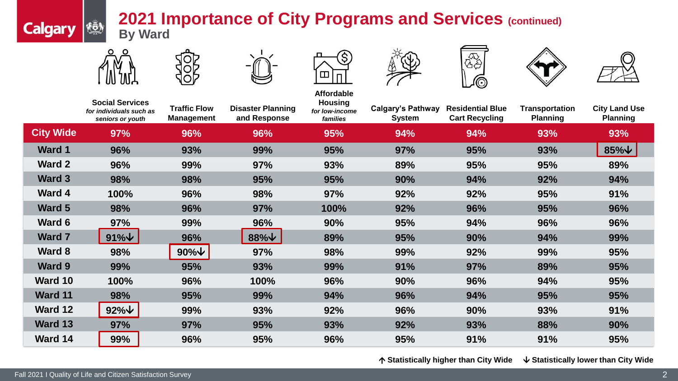## **2021 Importance of City Programs and Services (continued) By Ward**



₹Õ.

**Calgary** 















|                  | <b>Social Services</b><br>for individuals such as<br>seniors or youth | <b>Traffic Flow</b><br><b>Management</b> | <b>Disaster Planning</b><br>and Response | <b>Affordable</b><br><b>Housing</b><br>for low-income<br>families | <b>Calgary's Pathway</b><br><b>System</b> | <b>Residential Blue</b><br><b>Cart Recycling</b> | <b>Transportation</b><br><b>Planning</b> | <b>City Land Use</b><br><b>Planning</b> |
|------------------|-----------------------------------------------------------------------|------------------------------------------|------------------------------------------|-------------------------------------------------------------------|-------------------------------------------|--------------------------------------------------|------------------------------------------|-----------------------------------------|
| <b>City Wide</b> | 97%                                                                   | 96%                                      | 96%                                      | 95%                                                               | 94%                                       | 94%                                              | 93%                                      | 93%                                     |
| <b>Ward 1</b>    | 96%                                                                   | 93%                                      | 99%                                      | 95%                                                               | 97%                                       | 95%                                              | 93%                                      | $85\%$ $\vee$                           |
| <b>Ward 2</b>    | 96%                                                                   | 99%                                      | 97%                                      | 93%                                                               | 89%                                       | 95%                                              | 95%                                      | 89%                                     |
| <b>Ward 3</b>    | 98%                                                                   | 98%                                      | 95%                                      | 95%                                                               | 90%                                       | 94%                                              | 92%                                      | 94%                                     |
| <b>Ward 4</b>    | 100%                                                                  | 96%                                      | 98%                                      | 97%                                                               | 92%                                       | 92%                                              | 95%                                      | 91%                                     |
| <b>Ward 5</b>    | 98%                                                                   | 96%                                      | 97%                                      | 100%                                                              | 92%                                       | 96%                                              | 95%                                      | 96%                                     |
| Ward 6           | 97%                                                                   | 99%                                      | 96%                                      | 90%                                                               | 95%                                       | 94%                                              | 96%                                      | 96%                                     |
| <b>Ward 7</b>    | $91\%$                                                                | 96%                                      | $88\%$ $\vee$                            | 89%                                                               | 95%                                       | 90%                                              | 94%                                      | 99%                                     |
| <b>Ward 8</b>    | 98%                                                                   | $90\%$ $\forall$                         | 97%                                      | 98%                                                               | 99%                                       | 92%                                              | 99%                                      | 95%                                     |
| <b>Ward 9</b>    | 99%                                                                   | 95%                                      | 93%                                      | 99%                                                               | 91%                                       | 97%                                              | 89%                                      | 95%                                     |
| Ward 10          | 100%                                                                  | 96%                                      | 100%                                     | 96%                                                               | 90%                                       | 96%                                              | 94%                                      | 95%                                     |
| <b>Ward 11</b>   | 98%                                                                   | 95%                                      | 99%                                      | 94%                                                               | 96%                                       | 94%                                              | 95%                                      | 95%                                     |
| Ward 12          | $92\%$                                                                | 99%                                      | 93%                                      | 92%                                                               | 96%                                       | 90%                                              | 93%                                      | 91%                                     |
| Ward 13          | 97%                                                                   | 97%                                      | 95%                                      | 93%                                                               | 92%                                       | 93%                                              | 88%                                      | 90%                                     |
| Ward 14          | 99%                                                                   | 96%                                      | 95%                                      | 96%                                                               | 95%                                       | 91%                                              | 91%                                      | 95%                                     |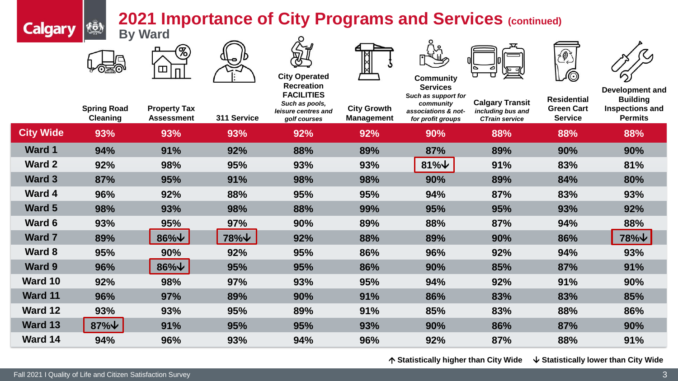## **2021 Importance of City Programs and Services (continued)**

| <b>Calgary</b>   | <b>2021 Importance of City Programs and Services (continued)</b><br>$\begin{picture}(22,10) \put(0,0){\vector(0,1){30}} \put(15,0){\vector(0,1){30}} \put(15,0){\vector(0,1){30}} \put(15,0){\vector(0,1){30}} \put(15,0){\vector(0,1){30}} \put(15,0){\vector(0,1){30}} \put(15,0){\vector(0,1){30}} \put(15,0){\vector(0,1){30}} \put(15,0){\vector(0,1){30}} \put(15,0){\vector(0,1){30}} \put(15,0){\vector(0,1){30}} \put(15,0){\vector(0$<br><b>By Ward</b> |                                          |             |                                                                            |                                         |                                                                              |                                                                      |                                                           |                                                                                |
|------------------|-------------------------------------------------------------------------------------------------------------------------------------------------------------------------------------------------------------------------------------------------------------------------------------------------------------------------------------------------------------------------------------------------------------------------------------------------------------------|------------------------------------------|-------------|----------------------------------------------------------------------------|-----------------------------------------|------------------------------------------------------------------------------|----------------------------------------------------------------------|-----------------------------------------------------------|--------------------------------------------------------------------------------|
|                  |                                                                                                                                                                                                                                                                                                                                                                                                                                                                   | %)<br>Ш<br>п                             |             | <b>City Operated</b><br><b>Recreation</b>                                  |                                         | <b>Community</b><br><b>Services</b>                                          |                                                                      | 2                                                         |                                                                                |
|                  | <b>Spring Road</b><br><b>Cleaning</b>                                                                                                                                                                                                                                                                                                                                                                                                                             | <b>Property Tax</b><br><b>Assessment</b> | 311 Service | <b>FACILITIES</b><br>Such as pools,<br>leisure centres and<br>golf courses | <b>City Growth</b><br><b>Management</b> | Such as support for<br>community<br>associations & not-<br>for profit groups | <b>Calgary Transit</b><br>including bus and<br><b>CTrain service</b> | <b>Residential</b><br><b>Green Cart</b><br><b>Service</b> | Development and<br><b>Building</b><br><b>Inspections and</b><br><b>Permits</b> |
| <b>City Wide</b> | 93%                                                                                                                                                                                                                                                                                                                                                                                                                                                               | 93%                                      | 93%         | 92%                                                                        | 92%                                     | 90%                                                                          | 88%                                                                  | 88%                                                       | 88%                                                                            |
| <b>Ward 1</b>    | 94%                                                                                                                                                                                                                                                                                                                                                                                                                                                               | 91%                                      | 92%         | 88%                                                                        | 89%                                     | 87%                                                                          | 89%                                                                  | 90%                                                       | 90%                                                                            |
| Ward 2           | 92%                                                                                                                                                                                                                                                                                                                                                                                                                                                               | 98%                                      | 95%         | 93%                                                                        | 93%                                     | $81\%$                                                                       | 91%                                                                  | 83%                                                       | 81%                                                                            |
| Ward 3           | 87%                                                                                                                                                                                                                                                                                                                                                                                                                                                               | 95%                                      | 91%         | 98%                                                                        | 98%                                     | 90%                                                                          | 89%                                                                  | 84%                                                       | 80%                                                                            |
| Ward 4           | 96%                                                                                                                                                                                                                                                                                                                                                                                                                                                               | 92%                                      | 88%         | 95%                                                                        | 95%                                     | 94%                                                                          | 87%                                                                  | 83%                                                       | 93%                                                                            |
| Ward 5           | 98%                                                                                                                                                                                                                                                                                                                                                                                                                                                               | 93%                                      | 98%         | 88%                                                                        | 99%                                     | 95%                                                                          | 95%                                                                  | 93%                                                       | 92%                                                                            |
| Ward 6           | 93%                                                                                                                                                                                                                                                                                                                                                                                                                                                               | 95%                                      | <b>97%</b>  | 90%                                                                        | 89%                                     | 88%                                                                          | 87%                                                                  | 94%                                                       | 88%                                                                            |
| Ward 7           | 89%                                                                                                                                                                                                                                                                                                                                                                                                                                                               | $86\%$ $\sqrt{ }$                        | 78%↓        | 92%                                                                        | 88%                                     | 89%                                                                          | 90%                                                                  | 86%                                                       | 78%↓                                                                           |
| Ward 8           | 95%                                                                                                                                                                                                                                                                                                                                                                                                                                                               | 90%                                      | 92%         | 95%                                                                        | 86%                                     | 96%                                                                          | 92%                                                                  | 94%                                                       | 93%                                                                            |
| Ward 9           | 96%                                                                                                                                                                                                                                                                                                                                                                                                                                                               | $86\%$ $\forall$                         | 95%         | 95%                                                                        | 86%                                     | 90%                                                                          | 85%                                                                  | 87%                                                       | 91%                                                                            |
| Ward 10          | 92%                                                                                                                                                                                                                                                                                                                                                                                                                                                               | 98%                                      | 97%         | 93%                                                                        | 95%                                     | 94%                                                                          | 92%                                                                  | 91%                                                       | 90%                                                                            |
| Ward 11          | 96%                                                                                                                                                                                                                                                                                                                                                                                                                                                               | 97%                                      | 89%         | 90%                                                                        | 91%                                     | 86%                                                                          | 83%                                                                  | 83%                                                       | 85%                                                                            |
| Ward 12          | 93%                                                                                                                                                                                                                                                                                                                                                                                                                                                               | 93%                                      | 95%         | 89%                                                                        | 91%                                     | 85%                                                                          | 83%                                                                  | 88%                                                       | 86%                                                                            |
| Ward 13          | $87\%$ $\sqrt{ }$                                                                                                                                                                                                                                                                                                                                                                                                                                                 | 91%                                      | 95%         | 95%                                                                        | 93%                                     | 90%                                                                          | 86%                                                                  | 87%                                                       | 90%                                                                            |
| Ward 14          | 94%                                                                                                                                                                                                                                                                                                                                                                                                                                                               | 96%                                      | 93%         | 94%                                                                        | 96%                                     | 92%                                                                          | 87%                                                                  | 88%                                                       | 91%                                                                            |